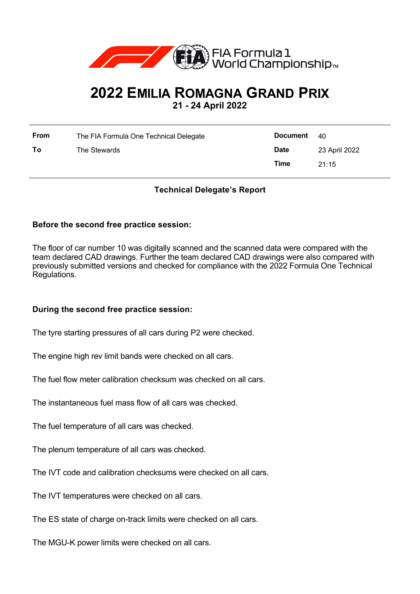

# **2022 EMILIA ROMAGNA GRAND PRIX**

**21 - 24 April 2022**

| <b>From</b> | The FIA Formula One Technical Delegate | <b>Document</b> 40 |               |
|-------------|----------------------------------------|--------------------|---------------|
| To          | The Stewards                           | <b>Date</b>        | 23 April 2022 |
|             |                                        | Time               | 21:15         |

# **Technical Delegate's Report**

### **Before the second free practice session:**

The floor of car number 10 was digitally scanned and the scanned data were compared with the team declared CAD drawings. Further the team declared CAD drawings were also compared with previously submitted versions and checked for compliance with the 2022 Formula One Technical Regulations.

#### **During the second free practice session:**

The tyre starting pressures of all cars during P2 were checked.

The engine high rev limit bands were checked on all cars.

The fuel flow meter calibration checksum was checked on all cars.

The instantaneous fuel mass flow of all cars was checked.

The fuel temperature of all cars was checked.

The plenum temperature of all cars was checked.

The IVT code and calibration checksums were checked on all cars.

The IVT temperatures were checked on all cars.

The ES state of charge on-track limits were checked on all cars.

The MGU-K power limits were checked on all cars.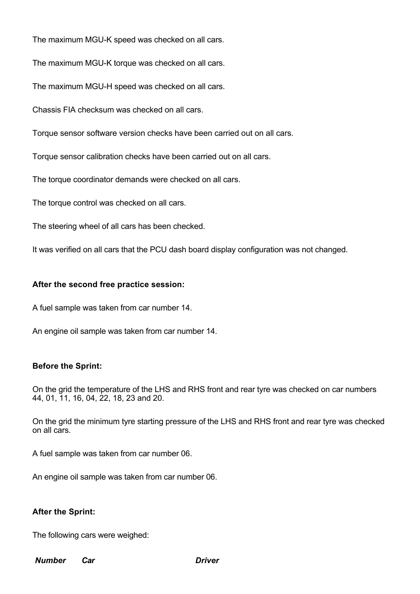The maximum MGU-K speed was checked on all cars.

The maximum MGU-K torque was checked on all cars.

The maximum MGU-H speed was checked on all cars.

Chassis FIA checksum was checked on all cars.

Torque sensor software version checks have been carried out on all cars.

Torque sensor calibration checks have been carried out on all cars.

The torque coordinator demands were checked on all cars.

The torque control was checked on all cars.

The steering wheel of all cars has been checked.

It was verified on all cars that the PCU dash board display configuration was not changed.

#### **After the second free practice session:**

A fuel sample was taken from car number 14.

An engine oil sample was taken from car number 14.

#### **Before the Sprint:**

On the grid the temperature of the LHS and RHS front and rear tyre was checked on car numbers 44, 01, 11, 16, 04, 22, 18, 23 and 20.

On the grid the minimum tyre starting pressure of the LHS and RHS front and rear tyre was checked on all cars.

A fuel sample was taken from car number 06.

An engine oil sample was taken from car number 06.

#### **After the Sprint:**

The following cars were weighed:

#### *Number Car Driver*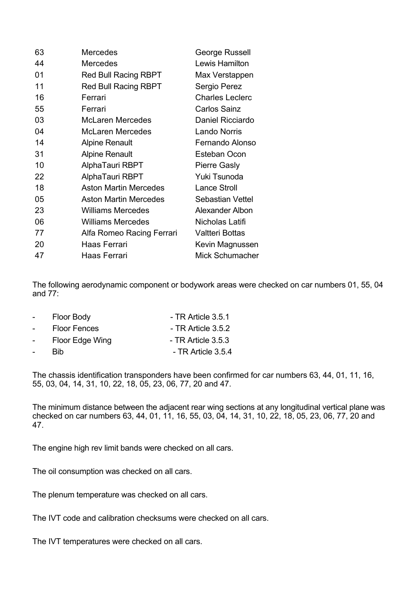| 63 | Mercedes                     | George Russell         |
|----|------------------------------|------------------------|
| 44 | <b>Mercedes</b>              | Lewis Hamilton         |
| 01 | <b>Red Bull Racing RBPT</b>  | Max Verstappen         |
| 11 | <b>Red Bull Racing RBPT</b>  | Sergio Perez           |
| 16 | Ferrari                      | <b>Charles Leclerc</b> |
| 55 | Ferrari                      | <b>Carlos Sainz</b>    |
| 03 | <b>McLaren Mercedes</b>      | Daniel Ricciardo       |
| 04 | McLaren Mercedes             | <b>Lando Norris</b>    |
| 14 | <b>Alpine Renault</b>        | Fernando Alonso        |
| 31 | <b>Alpine Renault</b>        | <b>Esteban Ocon</b>    |
| 10 | AlphaTauri RBPT              | <b>Pierre Gasly</b>    |
| 22 | AlphaTauri RBPT              | Yuki Tsunoda           |
| 18 | <b>Aston Martin Mercedes</b> | <b>Lance Stroll</b>    |
| 05 | <b>Aston Martin Mercedes</b> | Sebastian Vettel       |
| 23 | <b>Williams Mercedes</b>     | Alexander Albon        |
| 06 | <b>Williams Mercedes</b>     | Nicholas Latifi        |
| 77 | Alfa Romeo Racing Ferrari    | Valtteri Bottas        |
| 20 | Haas Ferrari                 | Kevin Magnussen        |
| 47 | Haas Ferrari                 | Mick Schumacher        |

The following aerodynamic component or bodywork areas were checked on car numbers 01, 55, 04 and 77:

| $\sim$ 10 $\pm$ | Floor Body          | - TR Article 3.5.1   |
|-----------------|---------------------|----------------------|
| $\sim 10^{-10}$ | <b>Floor Fences</b> | - TR Article 3.5.2   |
| $\sim 100$      | Floor Edge Wing     | $-$ TR Article 3.5.3 |
| $\sim$          | <b>Rib</b>          | - TR Article 3.5.4   |

The chassis identification transponders have been confirmed for car numbers 63, 44, 01, 11, 16, 55, 03, 04, 14, 31, 10, 22, 18, 05, 23, 06, 77, 20 and 47.

The minimum distance between the adjacent rear wing sections at any longitudinal vertical plane was checked on car numbers 63, 44, 01, 11, 16, 55, 03, 04, 14, 31, 10, 22, 18, 05, 23, 06, 77, 20 and 47.

The engine high rev limit bands were checked on all cars.

The oil consumption was checked on all cars.

The plenum temperature was checked on all cars.

The IVT code and calibration checksums were checked on all cars.

The IVT temperatures were checked on all cars.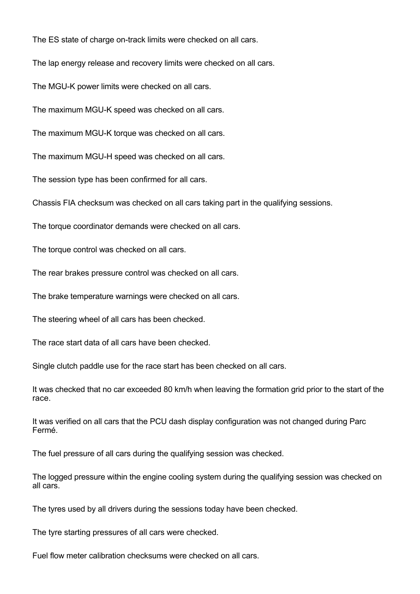The ES state of charge on-track limits were checked on all cars.

The lap energy release and recovery limits were checked on all cars.

The MGU-K power limits were checked on all cars.

The maximum MGU-K speed was checked on all cars.

The maximum MGU-K torque was checked on all cars.

The maximum MGU-H speed was checked on all cars.

The session type has been confirmed for all cars.

Chassis FIA checksum was checked on all cars taking part in the qualifying sessions.

The torque coordinator demands were checked on all cars.

The torque control was checked on all cars.

The rear brakes pressure control was checked on all cars.

The brake temperature warnings were checked on all cars.

The steering wheel of all cars has been checked.

The race start data of all cars have been checked.

Single clutch paddle use for the race start has been checked on all cars.

It was checked that no car exceeded 80 km/h when leaving the formation grid prior to the start of the race.

It was verified on all cars that the PCU dash display configuration was not changed during Parc Fermé.

The fuel pressure of all cars during the qualifying session was checked.

The logged pressure within the engine cooling system during the qualifying session was checked on all cars.

The tyres used by all drivers during the sessions today have been checked.

The tyre starting pressures of all cars were checked.

Fuel flow meter calibration checksums were checked on all cars.